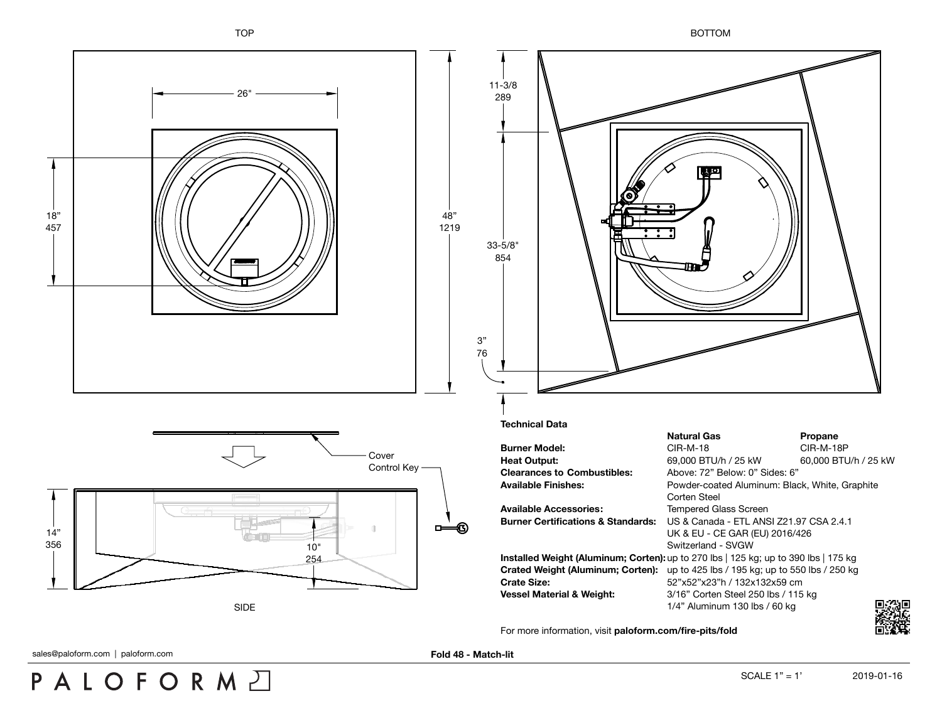TOP BOTTOM



sales@paloform.com | paloform.com **Fold 48 - Match-lit** 

PALOFORMA